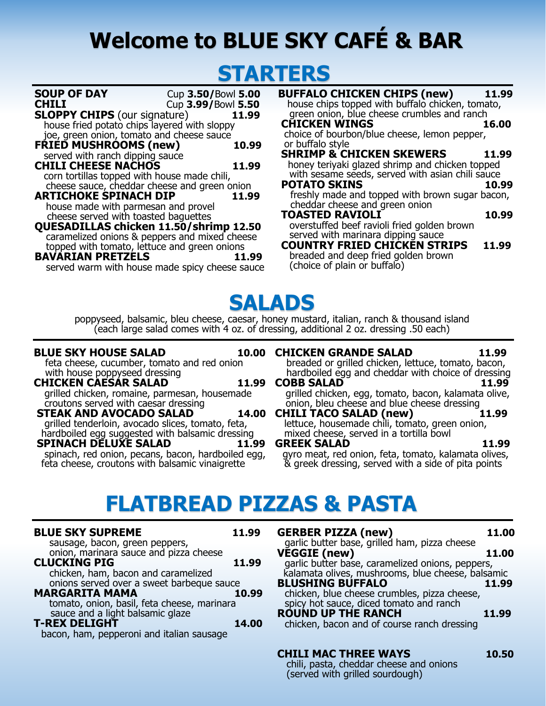# **Welcome to BLUE SKY CAFÉ & BAR**

### **STARTERS**

| <b>SOUP OF DAY</b>                             | Cup 3.50/Bowl 5.00 |       |
|------------------------------------------------|--------------------|-------|
| <b>CHILI</b>                                   | Cup 3.99/Bowl 5.50 |       |
| <b>SLOPPY CHIPS</b> (our signature)            |                    | 11.99 |
| house fried potato chips layered with sloppy   |                    |       |
| joe, green onion, tomato and cheese sauce      |                    |       |
| <b>FRIED MUSHROOMS (new)</b>                   |                    | 10.99 |
| served with ranch dipping sauce                |                    |       |
| <b>CHILI CHEESE NACHOS</b>                     |                    | 11.99 |
| corn tortillas topped with house made chili,   |                    |       |
| cheese sauce, cheddar cheese and green onion   |                    |       |
| <b>ARTICHOKE SPINACH DIP</b>                   |                    | 11.99 |
| house made with parmesan and provel            |                    |       |
| cheese served with toasted baquettes           |                    |       |
| QUESADILLAS chicken 11.50/shrimp 12.50         |                    |       |
| caramelized onions & peppers and mixed cheese  |                    |       |
| topped with tomato, lettuce and green onions   |                    |       |
| <b>BAVARIAN PRETZELS</b>                       |                    | 11.99 |
|                                                |                    |       |
| served warm with house made spicy cheese sauce |                    |       |

| <b>BUFFALO CHICKEN CHIPS (new)</b><br>house chips topped with buffalo chicken, tomato,                                   | 11.99 |
|--------------------------------------------------------------------------------------------------------------------------|-------|
| green onion, blue cheese crumbles and ranch<br><b>CHICKEN WINGS</b><br>choice of bourbon/blue cheese, lemon pepper,      | 16.00 |
| or buffalo style<br><b>SHRIMP &amp; CHICKEN SKEWERS</b><br>honey teriyaki glazed shrimp and chicken topped               | 11.99 |
| with sesame seeds, served with asian chili sauce<br><b>POTATO SKINS</b>                                                  | 10.99 |
| freshly made and topped with brown sugar bacon,<br>cheddar cheese and green onion<br><b>TOASTED RAVIOLI</b>              | 10.99 |
| overstuffed beef ravioli fried golden brown<br>served with marinara dipping sauce<br><b>COUNTRY FRIED CHICKEN STRIPS</b> | 11.99 |
| breaded and deep fried golden brown<br>(choice of plain or buffalo)                                                      |       |

## **SALADS**

poppyseed, balsamic, bleu cheese, caesar, honey mustard, italian, ranch & thousand island (each large salad comes with 4 oz. of dressing, additional 2 oz. dressing .50 each)

#### **BLUE SKY HOUSE SALAD**

feta cheese, cucumber, tomato and red onion with house poppyseed dressing

**CHICKEN CAESAR SALAD 11.99** grilled chicken, romaine, parmesan, housemade croutons served with caesar dressing

**STEAK AND AVOCADO SALAD 14.00**  grilled tenderloin, avocado slices, tomato, feta, hardboiled egg suggested with balsamic dressing

**SPINACH DELUXE SALAD 11.99** spinach, red onion, pecans, bacon, hardboiled egg, feta cheese, croutons with balsamic vinaigrette

#### **CHICKEN GRANDE SALAD 11.99** breaded or grilled chicken, lettuce, tomato, bacon,

hardboiled egg and cheddar with choice of dressing **COBB SALAD 11.99**

grilled chicken, egg, tomato, bacon, kalamata olive, onion, bleu cheese and blue cheese dressing

**CHILI TACO SALAD (new) 11.99** lettuce, housemade chili, tomato, green onion, mixed cheese, served in a tortilla bowl

**GREEK SALAD 11.99** gyro meat, red onion, feta, tomato, kalamata olives, & greek dressing, served with a side of pita points

### **FLATBREAD PIZZAS & PASTA**

| <b>BLUE SKY SUPREME</b><br>sausage, bacon, green peppers,                                        | 11.99 |
|--------------------------------------------------------------------------------------------------|-------|
| onion, marinara sauce and pizza cheese<br>CLUCKING PIG                                           | 11.99 |
| chicken, ham, bacon and caramelized<br>onions served over a sweet barbeque sauce                 |       |
| <b>MARGARITA MAMA</b>                                                                            | 10.99 |
| tomato, onion, basil, feta cheese, marinara<br>sauce and a light balsamic glaze<br>T-REX DELIGHT |       |
| bacon, ham, pepperoni and italian sausage                                                        | 14.00 |
|                                                                                                  |       |

| <b>GERBER PIZZA (new)</b>                                                    | 11.00 |
|------------------------------------------------------------------------------|-------|
| garlic butter base, grilled ham, pizza cheese<br>VĚGGIE (new)                | 11.00 |
| garlic butter base, caramelized onions, peppers,                             |       |
| kalamata olives, mushrooms, blue cheese, balsamic<br><b>BLUSHING BUFFALO</b> | 11.99 |
| chicken, blue cheese crumbles, pizza cheese,                                 |       |
| spicy hot sauce, diced tomato and ranch<br><b>ROUND UP THE RANCH</b>         | 11.99 |
| chicken, bacon and of course ranch dressing                                  |       |
|                                                                              |       |

### **CHILI MAC THREE WAYS 10.50**

chili, pasta, cheddar cheese and onions (served with grilled sourdough)